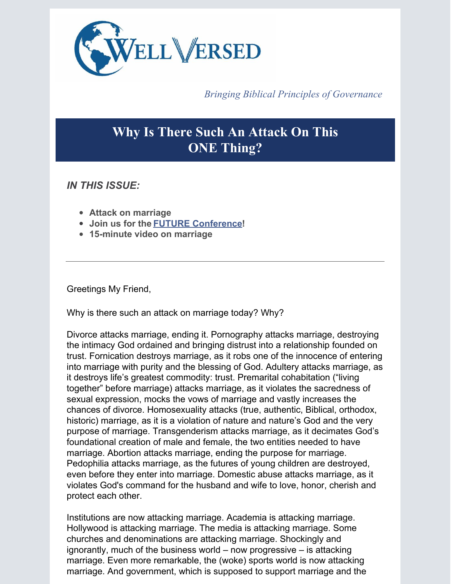

*Bringing Biblical Principles of Governance*

## **Why Is There Such An Attack On This ONE Thing?**

*IN THIS ISSUE:*

- **Attack on marriage**
- **Join us for the FUTURE [Conference](https://www.wellversedworld.org/futureconference/)!**
- **15-minute video on marriage**

Greetings My Friend,

Why is there such an attack on marriage today? Why?

Divorce attacks marriage, ending it. Pornography attacks marriage, destroying the intimacy God ordained and bringing distrust into a relationship founded on trust. Fornication destroys marriage, as it robs one of the innocence of entering into marriage with purity and the blessing of God. Adultery attacks marriage, as it destroys life's greatest commodity: trust. Premarital cohabitation ("living together" before marriage) attacks marriage, as it violates the sacredness of sexual expression, mocks the vows of marriage and vastly increases the chances of divorce. Homosexuality attacks (true, authentic, Biblical, orthodox, historic) marriage, as it is a violation of nature and nature's God and the very purpose of marriage. Transgenderism attacks marriage, as it decimates God's foundational creation of male and female, the two entities needed to have marriage. Abortion attacks marriage, ending the purpose for marriage. Pedophilia attacks marriage, as the futures of young children are destroyed, even before they enter into marriage. Domestic abuse attacks marriage, as it violates God's command for the husband and wife to love, honor, cherish and protect each other.

Institutions are now attacking marriage. Academia is attacking marriage. Hollywood is attacking marriage. The media is attacking marriage. Some churches and denominations are attacking marriage. Shockingly and ignorantly, much of the business world – now progressive – is attacking marriage. Even more remarkable, the (woke) sports world is now attacking marriage. And government, which is supposed to support marriage and the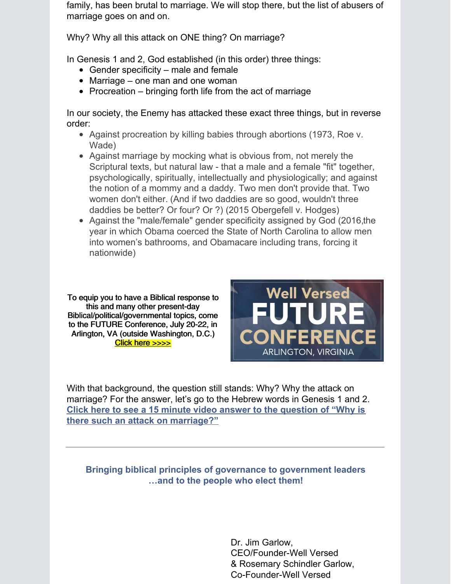family, has been brutal to marriage. We will stop there, but the list of abusers of marriage goes on and on.

Why? Why all this attack on ONE thing? On marriage?

In Genesis 1 and 2, God established (in this order) three things:

- Gender specificity male and female
- Marriage one man and one woman
- Procreation  $-$  bringing forth life from the act of marriage

In our society, the Enemy has attacked these exact three things, but in reverse order:

- Against procreation by killing babies through abortions (1973, Roe v. Wade)
- Against marriage by mocking what is obvious from, not merely the Scriptural texts, but natural law - that a male and a female "fit" together, psychologically, spiritually, intellectually and physiologically; and against the notion of a mommy and a daddy. Two men don't provide that. Two women don't either. (And if two daddies are so good, wouldn't three daddies be better? Or four? Or ?) (2015 Obergefell v. Hodges)
- Against the "male/female" gender specificity assigned by God (2016,the year in which Obama coerced the State of North Carolina to allow men into women's bathrooms, and Obamacare including trans, forcing it nationwide)

To equip you to have a Biblical response to this and many other present-day [Biblical/political/governmental](https://www.wellversedworld.org/futureconference/) topics, come to the FUTURE Conference, July 20-22, in Arlington, VA (outside Washington, D.C.) Click here [>>>>](https://www.wellversedworld.org/futureconference/)



With that background, the question still stands: Why? Why the attack on marriage? For the answer, let's go to the Hebrew words in Genesis 1 and 2. **Click here to see a 15 minute video answer to the question of "Why is there such an attack on [marriage?"](https://vimeo.com/506594827)**

## **Bringing biblical principles of governance to government leaders …and to the people who elect them!**

Dr. Jim Garlow, CEO/Founder-Well Versed & Rosemary Schindler Garlow, Co-Founder-Well Versed